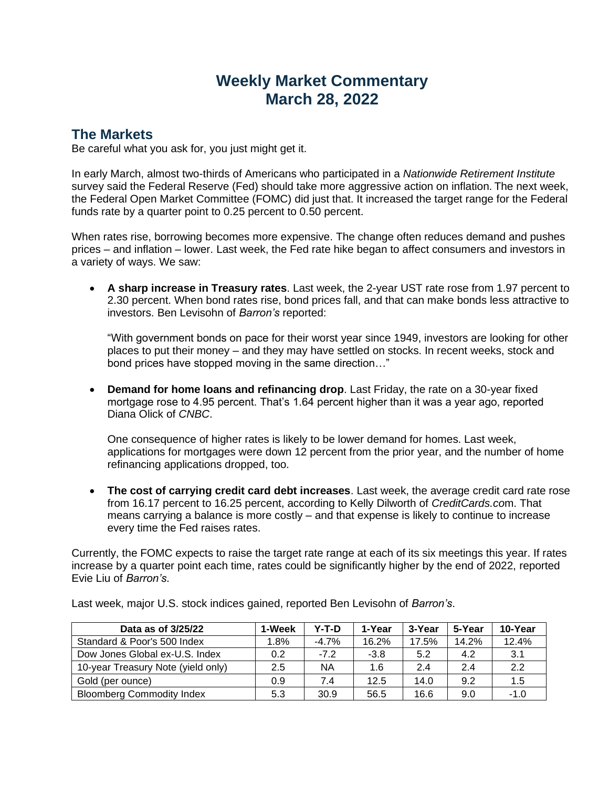## **Weekly Market Commentary March 28, 2022**

## **The Markets**

Be careful what you ask for, you just might get it.

In early March, almost two-thirds of Americans who participated in a *Nationwide Retirement Institute* survey said the Federal Reserve (Fed) should take more aggressive action on inflation. The next week, the Federal Open Market Committee (FOMC) did just that. It increased the target range for the Federal funds rate by a quarter point to 0.25 percent to 0.50 percent.

When rates rise, borrowing becomes more expensive. The change often reduces demand and pushes prices – and inflation – lower. Last week, the Fed rate hike began to affect consumers and investors in a variety of ways. We saw:

• **A sharp increase in Treasury rates**. Last week, the 2-year UST rate rose from 1.97 percent to 2.30 percent. When bond rates rise, bond prices fall, and that can make bonds less attractive to investors. Ben Levisohn of *Barron's* reported:

"With government bonds on pace for their worst year since 1949, investors are looking for other places to put their money – and they may have settled on stocks. In recent weeks, stock and bond prices have stopped moving in the same direction…"

• **Demand for home loans and refinancing drop**. Last Friday, the rate on a 30-year fixed mortgage rose to 4.95 percent. That's 1.64 percent higher than it was a year ago, reported Diana Olick of *CNBC*.

One consequence of higher rates is likely to be lower demand for homes. Last week, applications for mortgages were down 12 percent from the prior year, and the number of home refinancing applications dropped, too.

• **The cost of carrying credit card debt increases**. Last week, the average credit card rate rose from 16.17 percent to 16.25 percent, according to Kelly Dilworth of *CreditCards.co*m. That means carrying a balance is more costly – and that expense is likely to continue to increase every time the Fed raises rates.

Currently, the FOMC expects to raise the target rate range at each of its six meetings this year. If rates increase by a quarter point each time, rates could be significantly higher by the end of 2022, reported Evie Liu of *Barron's*.

| Data as of 3/25/22                 | 1-Week | Y-T-D   | 1-Year | 3-Year | 5-Year | 10-Year |
|------------------------------------|--------|---------|--------|--------|--------|---------|
| Standard & Poor's 500 Index        | 1.8%   | $-4.7%$ | 16.2%  | 17.5%  | 14.2%  | 12.4%   |
| Dow Jones Global ex-U.S. Index     | 0.2    | $-7.2$  | $-3.8$ | 5.2    | 4.2    | 3.1     |
| 10-year Treasury Note (yield only) | 2.5    | ΝA      | 1.6    | 2.4    | 2.4    | 2.2     |
| Gold (per ounce)                   | 0.9    | 7.4     | 12.5   | 14.0   | 9.2    | 1.5     |
| <b>Bloomberg Commodity Index</b>   | 5.3    | 30.9    | 56.5   | 16.6   | 9.0    | $-1.0$  |

Last week, major U.S. stock indices gained, reported Ben Levisohn of *Barron's*.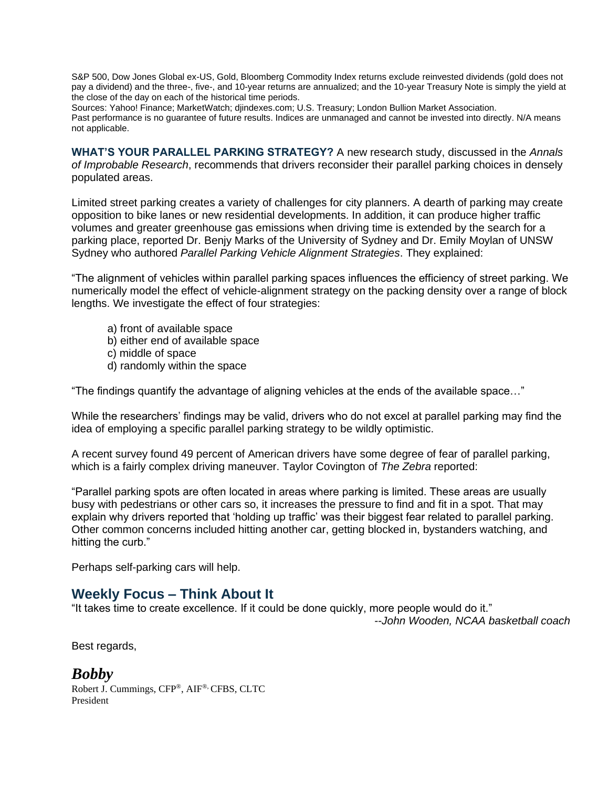S&P 500, Dow Jones Global ex-US, Gold, Bloomberg Commodity Index returns exclude reinvested dividends (gold does not pay a dividend) and the three-, five-, and 10-year returns are annualized; and the 10-year Treasury Note is simply the yield at the close of the day on each of the historical time periods.

Sources: Yahoo! Finance; MarketWatch; djindexes.com; U.S. Treasury; London Bullion Market Association.

Past performance is no guarantee of future results. Indices are unmanaged and cannot be invested into directly. N/A means not applicable.

**WHAT'S YOUR PARALLEL PARKING STRATEGY?** A new research study, discussed in the *Annals of Improbable Research*, recommends that drivers reconsider their parallel parking choices in densely populated areas.

Limited street parking creates a variety of challenges for city planners. A dearth of parking may create opposition to bike lanes or new residential developments. In addition, it can produce higher traffic volumes and greater greenhouse gas emissions when driving time is extended by the search for a parking place, reported Dr. Benjy Marks of the University of Sydney and Dr. Emily Moylan of UNSW Sydney who authored *Parallel Parking Vehicle Alignment Strategies*. They explained:

"The alignment of vehicles within parallel parking spaces influences the efficiency of street parking. We numerically model the effect of vehicle-alignment strategy on the packing density over a range of block lengths. We investigate the effect of four strategies:

- a) front of available space
- b) either end of available space
- c) middle of space
- d) randomly within the space

"The findings quantify the advantage of aligning vehicles at the ends of the available space…"

While the researchers' findings may be valid, drivers who do not excel at parallel parking may find the idea of employing a specific parallel parking strategy to be wildly optimistic.

A recent survey found 49 percent of American drivers have some degree of fear of parallel parking, which is a fairly complex driving maneuver. Taylor Covington of *The Zebra* reported:

"Parallel parking spots are often located in areas where parking is limited. These areas are usually busy with pedestrians or other cars so, it increases the pressure to find and fit in a spot. That may explain why drivers reported that 'holding up traffic' was their biggest fear related to parallel parking. Other common concerns included hitting another car, getting blocked in, bystanders watching, and hitting the curb."

Perhaps self-parking cars will help.

## **Weekly Focus – Think About It**

"It takes time to create excellence. If it could be done quickly, more people would do it."

*--John Wooden, NCAA basketball coach*

Best regards,

## *Bobby*

Robert J. Cummings, CFP®, AIF®, CFBS, CLTC President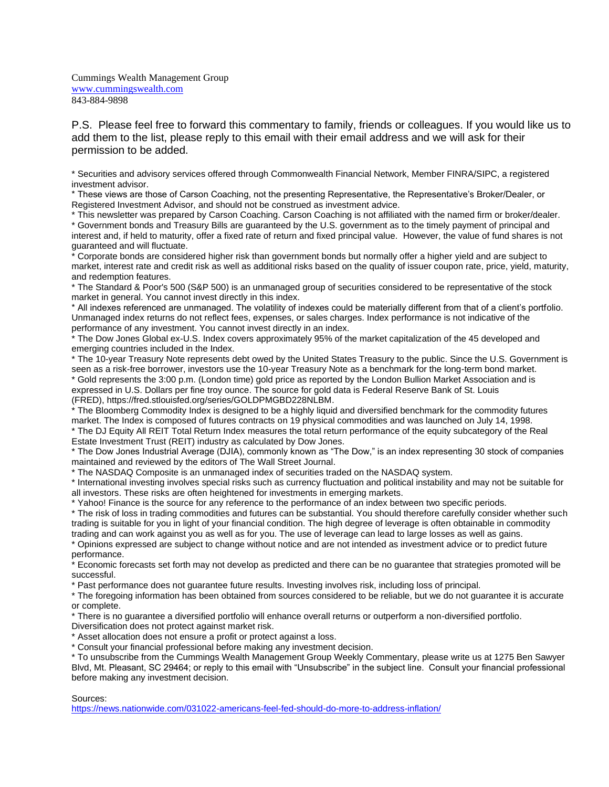Cummings Wealth Management Group [www.cummingswealth.com](http://www.cummingswealth.com/) 843-884-9898

P.S. Please feel free to forward this commentary to family, friends or colleagues. If you would like us to add them to the list, please reply to this email with their email address and we will ask for their permission to be added.

\* Securities and advisory services offered through Commonwealth Financial Network, Member FINRA/SIPC, a registered investment advisor.

\* These views are those of Carson Coaching, not the presenting Representative, the Representative's Broker/Dealer, or Registered Investment Advisor, and should not be construed as investment advice.

\* This newsletter was prepared by Carson Coaching. Carson Coaching is not affiliated with the named firm or broker/dealer. \* Government bonds and Treasury Bills are guaranteed by the U.S. government as to the timely payment of principal and interest and, if held to maturity, offer a fixed rate of return and fixed principal value. However, the value of fund shares is not guaranteed and will fluctuate.

\* Corporate bonds are considered higher risk than government bonds but normally offer a higher yield and are subject to market, interest rate and credit risk as well as additional risks based on the quality of issuer coupon rate, price, yield, maturity, and redemption features.

\* The Standard & Poor's 500 (S&P 500) is an unmanaged group of securities considered to be representative of the stock market in general. You cannot invest directly in this index.

\* All indexes referenced are unmanaged. The volatility of indexes could be materially different from that of a client's portfolio. Unmanaged index returns do not reflect fees, expenses, or sales charges. Index performance is not indicative of the performance of any investment. You cannot invest directly in an index.

\* The Dow Jones Global ex-U.S. Index covers approximately 95% of the market capitalization of the 45 developed and emerging countries included in the Index.

\* The 10-year Treasury Note represents debt owed by the United States Treasury to the public. Since the U.S. Government is seen as a risk-free borrower, investors use the 10-year Treasury Note as a benchmark for the long-term bond market. \* Gold represents the 3:00 p.m. (London time) gold price as reported by the London Bullion Market Association and is expressed in U.S. Dollars per fine troy ounce. The source for gold data is Federal Reserve Bank of St. Louis (FRED), https://fred.stlouisfed.org/series/GOLDPMGBD228NLBM.

\* The Bloomberg Commodity Index is designed to be a highly liquid and diversified benchmark for the commodity futures market. The Index is composed of futures contracts on 19 physical commodities and was launched on July 14, 1998.

\* The DJ Equity All REIT Total Return Index measures the total return performance of the equity subcategory of the Real Estate Investment Trust (REIT) industry as calculated by Dow Jones.

\* The Dow Jones Industrial Average (DJIA), commonly known as "The Dow," is an index representing 30 stock of companies maintained and reviewed by the editors of The Wall Street Journal.

\* The NASDAQ Composite is an unmanaged index of securities traded on the NASDAQ system.

\* International investing involves special risks such as currency fluctuation and political instability and may not be suitable for all investors. These risks are often heightened for investments in emerging markets.

\* Yahoo! Finance is the source for any reference to the performance of an index between two specific periods.

\* The risk of loss in trading commodities and futures can be substantial. You should therefore carefully consider whether such trading is suitable for you in light of your financial condition. The high degree of leverage is often obtainable in commodity trading and can work against you as well as for you. The use of leverage can lead to large losses as well as gains.

\* Opinions expressed are subject to change without notice and are not intended as investment advice or to predict future performance.

\* Economic forecasts set forth may not develop as predicted and there can be no guarantee that strategies promoted will be successful.

\* Past performance does not guarantee future results. Investing involves risk, including loss of principal.

\* The foregoing information has been obtained from sources considered to be reliable, but we do not guarantee it is accurate or complete.

\* There is no guarantee a diversified portfolio will enhance overall returns or outperform a non-diversified portfolio.

Diversification does not protect against market risk.

\* Asset allocation does not ensure a profit or protect against a loss.

\* Consult your financial professional before making any investment decision.

\* To unsubscribe from the Cummings Wealth Management Group Weekly Commentary, please write us at 1275 Ben Sawyer Blvd, Mt. Pleasant, SC 29464; or reply to this email with "Unsubscribe" in the subject line. Consult your financial professional before making any investment decision.

Sources:

<https://news.nationwide.com/031022-americans-feel-fed-should-do-more-to-address-inflation/>